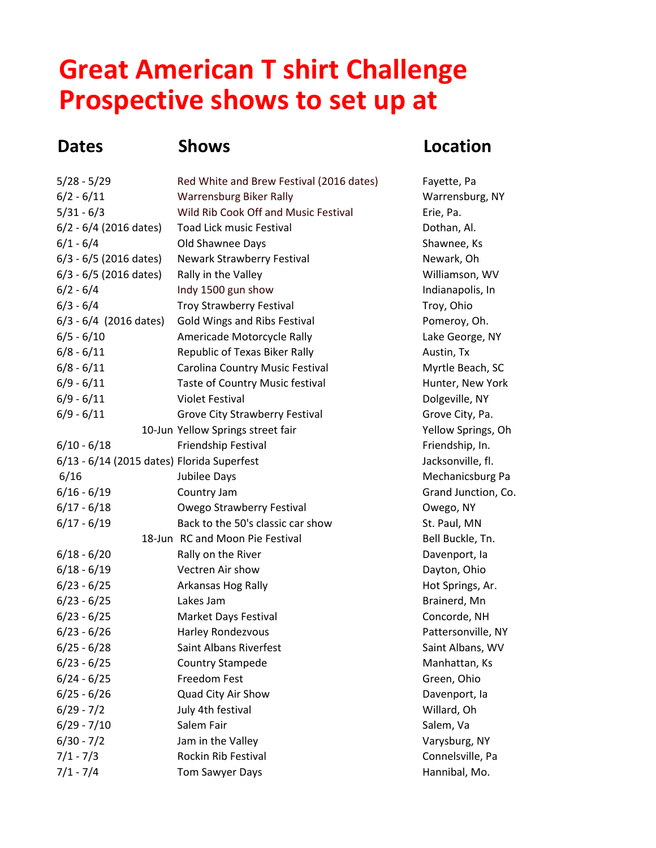## **Great American T shirt Challenge Prospective shows to set up at**

## **Dates Shows Location**

| $5/28 - 5/29$                              | Red White and Brew Festival (2016 dates) | Fayette, Pa         |
|--------------------------------------------|------------------------------------------|---------------------|
| $6/2 - 6/11$                               | <b>Warrensburg Biker Rally</b>           | Warrensburg, NY     |
| $5/31 - 6/3$                               | Wild Rib Cook Off and Music Festival     | Erie, Pa.           |
| 6/2 - 6/4 (2016 dates)                     | <b>Toad Lick music Festival</b>          | Dothan, Al.         |
| $6/1 - 6/4$                                | Old Shawnee Days                         | Shawnee, Ks         |
| 6/3 - 6/5 (2016 dates)                     | Newark Strawberry Festival               | Newark, Oh          |
| $6/3 - 6/5$ (2016 dates)                   | Rally in the Valley                      | Williamson, WV      |
| $6/2 - 6/4$                                | Indy 1500 gun show                       | Indianapolis, In    |
| $6/3 - 6/4$                                | <b>Troy Strawberry Festival</b>          | Troy, Ohio          |
| $6/3 - 6/4$ (2016 dates)                   | Gold Wings and Ribs Festival             | Pomeroy, Oh.        |
| $6/5 - 6/10$                               | Americade Motorcycle Rally               | Lake George, NY     |
| $6/8 - 6/11$                               | Republic of Texas Biker Rally            | Austin, Tx          |
| $6/8 - 6/11$                               | Carolina Country Music Festival          | Myrtle Beach, SC    |
| $6/9 - 6/11$                               | Taste of Country Music festival          | Hunter, New York    |
| $6/9 - 6/11$                               | <b>Violet Festival</b>                   | Dolgeville, NY      |
| $6/9 - 6/11$                               | Grove City Strawberry Festival           | Grove City, Pa.     |
|                                            | 10-Jun Yellow Springs street fair        | Yellow Springs, Oh  |
| $6/10 - 6/18$                              | Friendship Festival                      | Friendship, In.     |
| 6/13 - 6/14 (2015 dates) Florida Superfest |                                          | Jacksonville, fl.   |
| 6/16                                       | Jubilee Days                             | Mechanicsburg Pa    |
| $6/16 - 6/19$                              | Country Jam                              | Grand Junction, Co. |
| $6/17 - 6/18$                              | Owego Strawberry Festival                | Owego, NY           |
| $6/17 - 6/19$                              | Back to the 50's classic car show        | St. Paul, MN        |
|                                            | 18-Jun RC and Moon Pie Festival          | Bell Buckle, Tn.    |
| $6/18 - 6/20$                              | Rally on the River                       | Davenport, la       |
| $6/18 - 6/19$                              | Vectren Air show                         | Dayton, Ohio        |
| $6/23 - 6/25$                              | Arkansas Hog Rally                       | Hot Springs, Ar.    |
| $6/23 - 6/25$                              | Lakes Jam                                | Brainerd, Mn        |
| $6/23 - 6/25$                              | Market Days Festival                     | Concorde, NH        |
| $6/23 - 6/26$                              | Harley Rondezvous                        | Pattersonville, NY  |
| $6/25 - 6/28$                              | Saint Albans Riverfest                   | Saint Albans, WV    |
| $6/23 - 6/25$                              | <b>Country Stampede</b>                  | Manhattan, Ks       |
| $6/24 - 6/25$                              | Freedom Fest                             | Green, Ohio         |
| $6/25 - 6/26$                              | Quad City Air Show                       | Davenport, la       |
| $6/29 - 7/2$                               | July 4th festival                        | Willard, Oh         |
| $6/29 - 7/10$                              | Salem Fair                               | Salem, Va           |
| $6/30 - 7/2$                               | Jam in the Valley                        | Varysburg, NY       |
| $7/1 - 7/3$                                | Rockin Rib Festival                      | Connelsville, Pa    |
| $7/1 - 7/4$                                | Tom Sawyer Days                          | Hannibal, Mo.       |
|                                            |                                          |                     |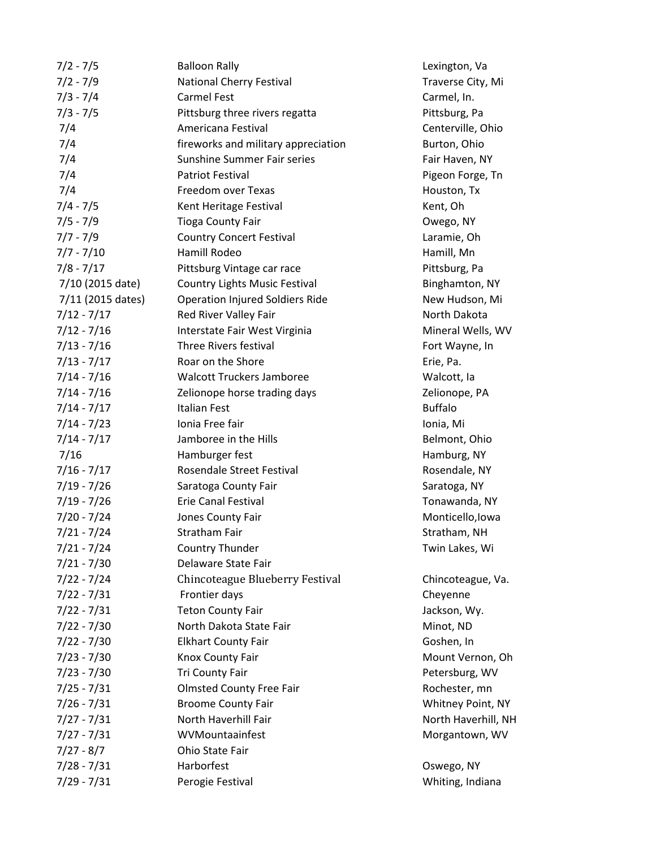| $7/2 - 7/5$       | <b>Balloon Rally</b>                   | Lexington, Va       |
|-------------------|----------------------------------------|---------------------|
| $7/2 - 7/9$       | National Cherry Festival               | Traverse City, Mi   |
| $7/3 - 7/4$       | <b>Carmel Fest</b>                     | Carmel, In.         |
| $7/3 - 7/5$       | Pittsburg three rivers regatta         | Pittsburg, Pa       |
| 7/4               | Americana Festival                     | Centerville, Ohio   |
| 7/4               | fireworks and military appreciation    | Burton, Ohio        |
| 7/4               | <b>Sunshine Summer Fair series</b>     | Fair Haven, NY      |
| 7/4               | <b>Patriot Festival</b>                | Pigeon Forge, Tn    |
| 7/4               | Freedom over Texas                     | Houston, Tx         |
| $7/4 - 7/5$       | Kent Heritage Festival                 | Kent, Oh            |
| $7/5 - 7/9$       | <b>Tioga County Fair</b>               | Owego, NY           |
| $7/7 - 7/9$       | <b>Country Concert Festival</b>        | Laramie, Oh         |
| $7/7 - 7/10$      | Hamill Rodeo                           | Hamill, Mn          |
| $7/8 - 7/17$      | Pittsburg Vintage car race             | Pittsburg, Pa       |
| 7/10 (2015 date)  | <b>Country Lights Music Festival</b>   | Binghamton, NY      |
| 7/11 (2015 dates) | <b>Operation Injured Soldiers Ride</b> | New Hudson, Mi      |
| $7/12 - 7/17$     | Red River Valley Fair                  | North Dakota        |
| $7/12 - 7/16$     | Interstate Fair West Virginia          | Mineral Wells, WV   |
| $7/13 - 7/16$     | Three Rivers festival                  | Fort Wayne, In      |
| $7/13 - 7/17$     | Roar on the Shore                      | Erie, Pa.           |
| $7/14 - 7/16$     | <b>Walcott Truckers Jamboree</b>       | Walcott, la         |
| $7/14 - 7/16$     | Zelionope horse trading days           | Zelionope, PA       |
| $7/14 - 7/17$     | <b>Italian Fest</b>                    | <b>Buffalo</b>      |
| $7/14 - 7/23$     | Ionia Free fair                        | Ionia, Mi           |
| $7/14 - 7/17$     | Jamboree in the Hills                  | Belmont, Ohio       |
| 7/16              | Hamburger fest                         | Hamburg, NY         |
| $7/16 - 7/17$     | Rosendale Street Festival              | Rosendale, NY       |
| $7/19 - 7/26$     | Saratoga County Fair                   | Saratoga, NY        |
| $7/19 - 7/26$     | <b>Erie Canal Festival</b>             | Tonawanda, NY       |
| $7/20 - 7/24$     | Jones County Fair                      | Monticello, Iowa    |
| $7/21 - 7/24$     | <b>Stratham Fair</b>                   | Stratham, NH        |
| $7/21 - 7/24$     | Country Thunder                        | Twin Lakes, Wi      |
| $7/21 - 7/30$     | Delaware State Fair                    |                     |
| $7/22 - 7/24$     | Chincoteague Blueberry Festival        | Chincoteague, Va.   |
| $7/22 - 7/31$     | Frontier days                          | Cheyenne            |
| $7/22 - 7/31$     | <b>Teton County Fair</b>               | Jackson, Wy.        |
| $7/22 - 7/30$     | North Dakota State Fair                | Minot, ND           |
| $7/22 - 7/30$     | <b>Elkhart County Fair</b>             | Goshen, In          |
| $7/23 - 7/30$     | Knox County Fair                       | Mount Vernon, Oh    |
| $7/23 - 7/30$     | Tri County Fair                        | Petersburg, WV      |
| $7/25 - 7/31$     | <b>Olmsted County Free Fair</b>        | Rochester, mn       |
| $7/26 - 7/31$     | <b>Broome County Fair</b>              | Whitney Point, NY   |
| $7/27 - 7/31$     | North Haverhill Fair                   | North Haverhill, NH |
| $7/27 - 7/31$     | WVMountaainfest                        | Morgantown, WV      |
| $7/27 - 8/7$      | Ohio State Fair                        |                     |
| $7/28 - 7/31$     | Harborfest                             | Oswego, NY          |
| $7/29 - 7/31$     | Perogie Festival                       | Whiting, Indiana    |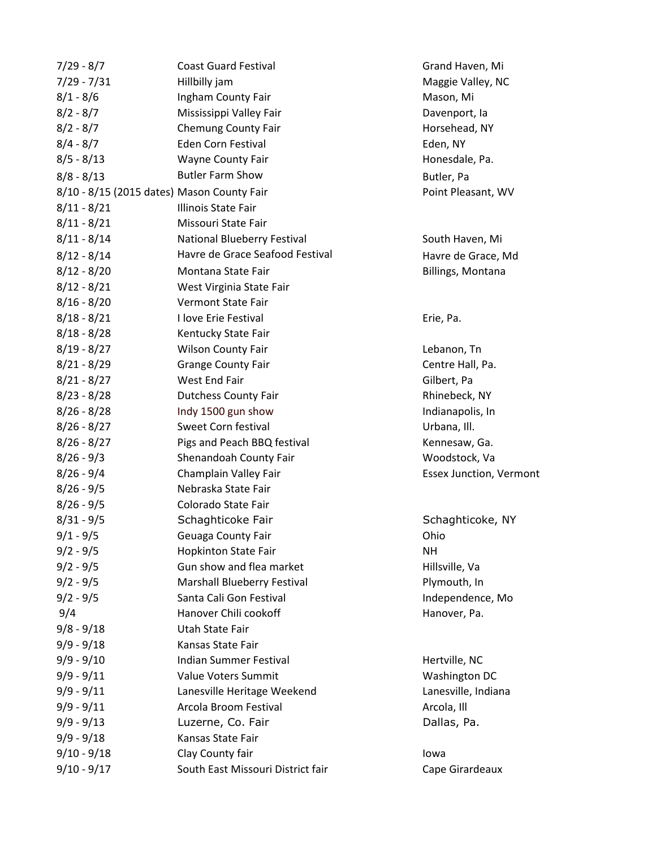| $7/29 - 8/7$  | <b>Coast Guard Festival</b>                | Grand Haven, Mi                |
|---------------|--------------------------------------------|--------------------------------|
| $7/29 - 7/31$ | Hillbilly jam                              | Maggie Valley, NC              |
| $8/1 - 8/6$   | Ingham County Fair                         | Mason, Mi                      |
| $8/2 - 8/7$   | Mississippi Valley Fair                    | Davenport, la                  |
| $8/2 - 8/7$   | <b>Chemung County Fair</b>                 | Horsehead, NY                  |
| $8/4 - 8/7$   | Eden Corn Festival                         | Eden, NY                       |
| $8/5 - 8/13$  | Wayne County Fair                          | Honesdale, Pa.                 |
| $8/8 - 8/13$  | <b>Butler Farm Show</b>                    | Butler, Pa                     |
|               | 8/10 - 8/15 (2015 dates) Mason County Fair | Point Pleasant, WV             |
| $8/11 - 8/21$ | Illinois State Fair                        |                                |
| $8/11 - 8/21$ | Missouri State Fair                        |                                |
| $8/11 - 8/14$ | National Blueberry Festival                | South Haven, Mi                |
| $8/12 - 8/14$ | Havre de Grace Seafood Festival            | Havre de Grace, Md             |
| $8/12 - 8/20$ | Montana State Fair                         | Billings, Montana              |
| $8/12 - 8/21$ | West Virginia State Fair                   |                                |
| $8/16 - 8/20$ | <b>Vermont State Fair</b>                  |                                |
| $8/18 - 8/21$ | I love Erie Festival                       | Erie, Pa.                      |
| $8/18 - 8/28$ | Kentucky State Fair                        |                                |
| $8/19 - 8/27$ | Wilson County Fair                         | Lebanon, Tn                    |
| $8/21 - 8/29$ | <b>Grange County Fair</b>                  | Centre Hall, Pa.               |
| $8/21 - 8/27$ | West End Fair                              | Gilbert, Pa                    |
| $8/23 - 8/28$ | <b>Dutchess County Fair</b>                | Rhinebeck, NY                  |
| $8/26 - 8/28$ | Indy 1500 gun show                         | Indianapolis, In               |
| $8/26 - 8/27$ | Sweet Corn festival                        | Urbana, Ill.                   |
| $8/26 - 8/27$ | Pigs and Peach BBQ festival                | Kennesaw, Ga.                  |
| $8/26 - 9/3$  | Shenandoah County Fair                     | Woodstock, Va                  |
| $8/26 - 9/4$  | Champlain Valley Fair                      | <b>Essex Junction, Vermont</b> |
| $8/26 - 9/5$  | Nebraska State Fair                        |                                |
| $8/26 - 9/5$  | Colorado State Fair                        |                                |
| $8/31 - 9/5$  | Schaghticoke Fair                          | Schaghticoke, NY               |
| $9/1 - 9/5$   | Geuaga County Fair                         | Ohio                           |
| $9/2 - 9/5$   | <b>Hopkinton State Fair</b>                | NΗ                             |
| $9/2 - 9/5$   | Gun show and flea market                   | Hillsville, Va                 |
| $9/2 - 9/5$   | Marshall Blueberry Festival                | Plymouth, In                   |
| $9/2 - 9/5$   | Santa Cali Gon Festival                    | Independence, Mo               |
| 9/4           | Hanover Chili cookoff                      | Hanover, Pa.                   |
| $9/8 - 9/18$  | Utah State Fair                            |                                |
| $9/9 - 9/18$  | Kansas State Fair                          |                                |
| $9/9 - 9/10$  | <b>Indian Summer Festival</b>              | Hertville, NC                  |
| $9/9 - 9/11$  | Value Voters Summit                        | Washington DC                  |
| $9/9 - 9/11$  | Lanesville Heritage Weekend                | Lanesville, Indiana            |
| $9/9 - 9/11$  | Arcola Broom Festival                      | Arcola, Ill                    |
| $9/9 - 9/13$  | Luzerne, Co. Fair                          | Dallas, Pa.                    |
| $9/9 - 9/18$  | Kansas State Fair                          |                                |
| $9/10 - 9/18$ | Clay County fair                           | lowa                           |
| $9/10 - 9/17$ | South East Missouri District fair          | Cape Girardeaux                |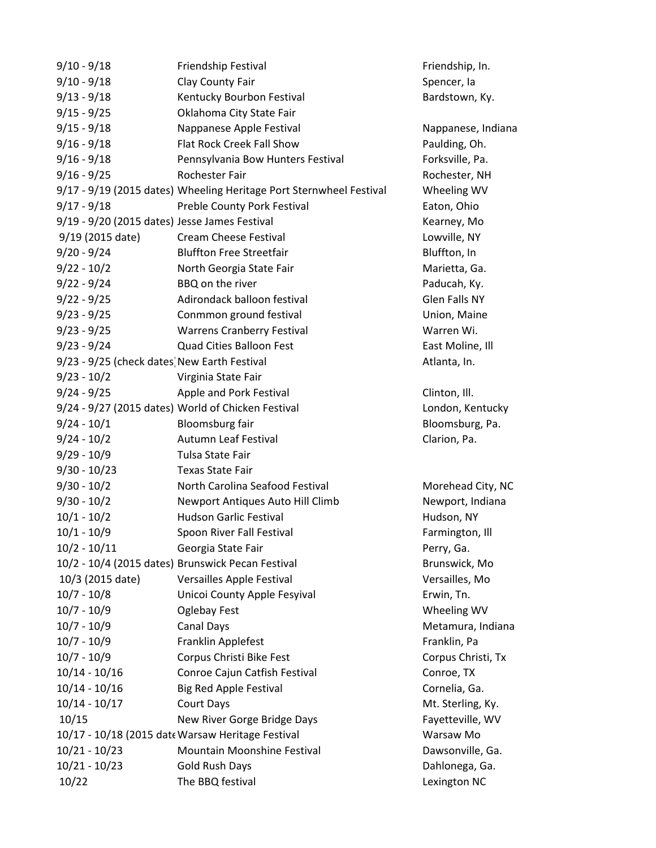| $9/10 - 9/18$                                 | Friendship Festival                                                 | Friendship, In.      |
|-----------------------------------------------|---------------------------------------------------------------------|----------------------|
| $9/10 - 9/18$                                 | Clay County Fair                                                    | Spencer, la          |
| $9/13 - 9/18$                                 | Kentucky Bourbon Festival                                           | Bardstown, Ky.       |
| $9/15 - 9/25$                                 | Oklahoma City State Fair                                            |                      |
| $9/15 - 9/18$                                 | Nappanese Apple Festival                                            | Nappanese, Indiana   |
| $9/16 - 9/18$                                 | Flat Rock Creek Fall Show                                           | Paulding, Oh.        |
| $9/16 - 9/18$                                 | Pennsylvania Bow Hunters Festival                                   | Forksville, Pa.      |
| $9/16 - 9/25$                                 | <b>Rochester Fair</b>                                               | Rochester, NH        |
|                                               | 9/17 - 9/19 (2015 dates) Wheeling Heritage Port Sternwheel Festival | Wheeling WV          |
| $9/17 - 9/18$                                 | Preble County Pork Festival                                         | Eaton, Ohio          |
| 9/19 - 9/20 (2015 dates) Jesse James Festival |                                                                     | Kearney, Mo          |
| 9/19 (2015 date)                              | <b>Cream Cheese Festival</b>                                        | Lowville, NY         |
| $9/20 - 9/24$                                 | <b>Bluffton Free Streetfair</b>                                     | Bluffton, In         |
| $9/22 - 10/2$                                 | North Georgia State Fair                                            | Marietta, Ga.        |
| $9/22 - 9/24$                                 | BBQ on the river                                                    | Paducah, Ky.         |
| $9/22 - 9/25$                                 | Adirondack balloon festival                                         | <b>Glen Falls NY</b> |
| $9/23 - 9/25$                                 | Conmmon ground festival                                             | Union, Maine         |
| $9/23 - 9/25$                                 | <b>Warrens Cranberry Festival</b>                                   | Warren Wi.           |
| $9/23 - 9/24$                                 | <b>Quad Cities Balloon Fest</b>                                     | East Moline, Ill     |
| 9/23 - 9/25 (check dates) New Earth Festival  |                                                                     | Atlanta, In.         |
| $9/23 - 10/2$                                 | Virginia State Fair                                                 |                      |
| $9/24 - 9/25$                                 | Apple and Pork Festival                                             | Clinton, Ill.        |
|                                               | 9/24 - 9/27 (2015 dates) World of Chicken Festival                  | London, Kentucky     |
| $9/24 - 10/1$                                 | Bloomsburg fair                                                     | Bloomsburg, Pa.      |
| $9/24 - 10/2$                                 | <b>Autumn Leaf Festival</b>                                         | Clarion, Pa.         |
| $9/29 - 10/9$                                 | Tulsa State Fair                                                    |                      |
| $9/30 - 10/23$                                | <b>Texas State Fair</b>                                             |                      |
| $9/30 - 10/2$                                 | North Carolina Seafood Festival                                     | Morehead City, NC    |
| $9/30 - 10/2$                                 | Newport Antiques Auto Hill Climb                                    | Newport, Indiana     |
| $10/1 - 10/2$                                 | <b>Hudson Garlic Festival</b>                                       | Hudson, NY           |
| $10/1 - 10/9$                                 | Spoon River Fall Festival                                           | Farmington, Ill      |
| $10/2 - 10/11$                                | Georgia State Fair                                                  | Perry, Ga.           |
|                                               | 10/2 - 10/4 (2015 dates) Brunswick Pecan Festival                   | Brunswick, Mo        |
| 10/3 (2015 date)                              | Versailles Apple Festival                                           | Versailles, Mo       |
| $10/7 - 10/8$                                 | Unicoi County Apple Fesyival                                        | Erwin, Tn.           |
| $10/7 - 10/9$                                 | <b>Oglebay Fest</b>                                                 | Wheeling WV          |
| $10/7 - 10/9$                                 | <b>Canal Days</b>                                                   | Metamura, Indiana    |
| $10/7 - 10/9$                                 | Franklin Applefest                                                  | Franklin, Pa         |
| $10/7 - 10/9$                                 | Corpus Christi Bike Fest                                            | Corpus Christi, Tx   |
| $10/14 - 10/16$                               | Conroe Cajun Catfish Festival                                       | Conroe, TX           |
| $10/14 - 10/16$                               | <b>Big Red Apple Festival</b>                                       | Cornelia, Ga.        |
| $10/14 - 10/17$                               | Court Days                                                          | Mt. Sterling, Ky.    |
| 10/15                                         | New River Gorge Bridge Days                                         | Fayetteville, WV     |
|                                               | 10/17 - 10/18 (2015 date Warsaw Heritage Festival                   | Warsaw Mo            |
| $10/21 - 10/23$                               | Mountain Moonshine Festival                                         | Dawsonville, Ga.     |
| $10/21 - 10/23$                               | <b>Gold Rush Days</b>                                               | Dahlonega, Ga.       |
| 10/22                                         | The BBQ festival                                                    | Lexington NC         |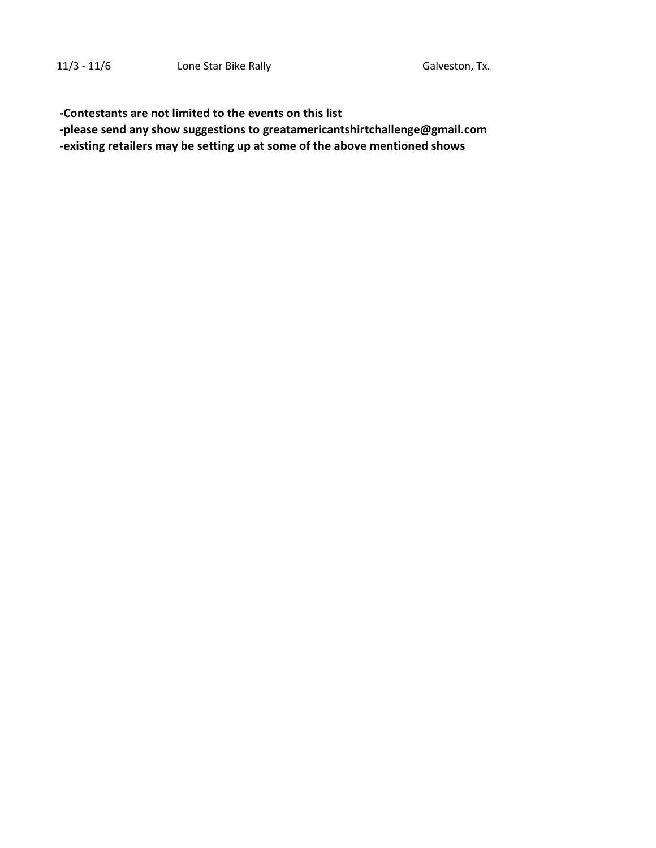**-Contestants are not limited to the events on this list**

 **-please send any show suggestions to greatamericantshirtchallenge@gmail.com -existing retailers may be setting up at some of the above mentioned shows**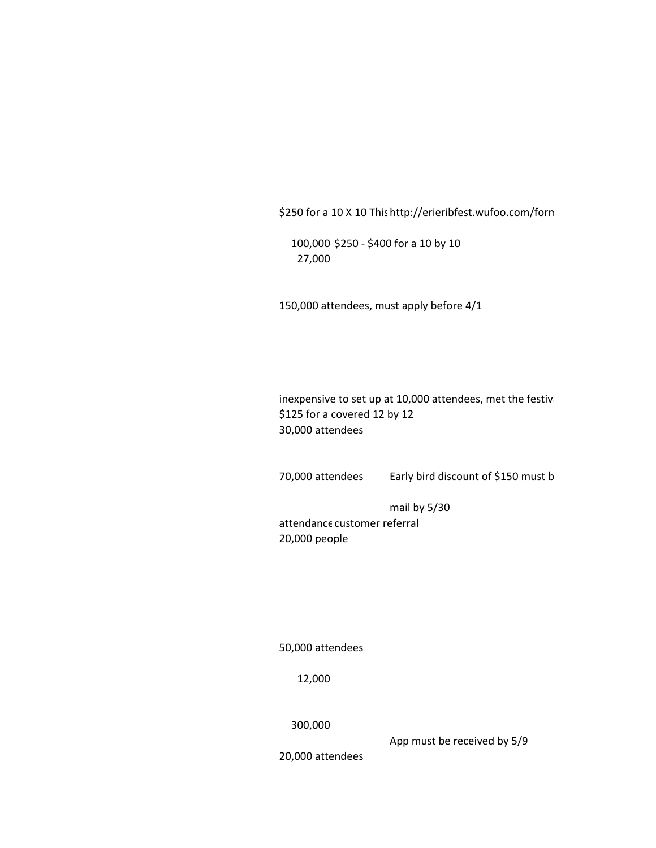\$250 for a 10 X 10 This http://erieribfest.wufoo.com/forn

100,000 \$250 - \$400 for a 10 by 10 27,000

150,000 attendees, must apply before 4/1

inexpensive to set up at 10,000 attendees, met the festival \$125 for a covered 12 by 12 30,000 attendees

70,000 attendees Early bird discount of \$150 must b

mail by 5/30

attendance customer referral 20,000 people

50,000 attendees

12,000

300,000

App must be received by 5/9

20,000 attendees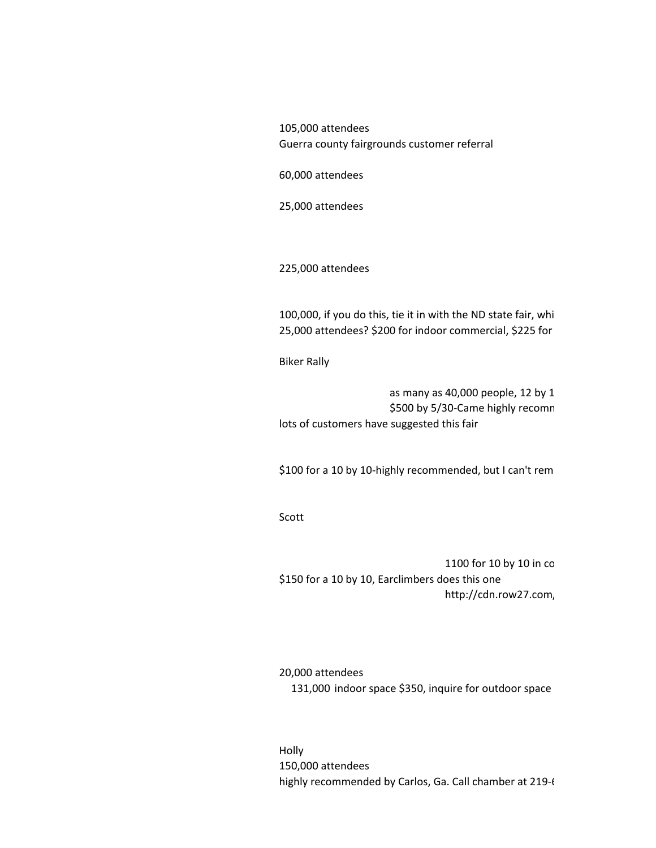105,000 attendees Guerra county fairgrounds customer referral

60,000 attendees

25,000 attendees

225,000 attendees

100,000, if you do this, tie it in with the ND state fair, whi 25,000 attendees? \$200 for indoor commercial, \$225 for

Biker Rally

as many as 40,000 people, 12 by 1 \$500 by 5/30-Came highly recomn lots of customers have suggested this fair

\$100 for a 10 by 10-highly recommended, but I can't rem-

Scott

1100 for 10 by 10 in  $co$ \$150 for a 10 by 10, Earclimbers does this one http://cdn.row27.com,

20,000 attendees 131,000 indoor space \$350, inquire for outdoor space

Holly 150,000 attendees highly recommended by Carlos, Ga. Call chamber at 219-6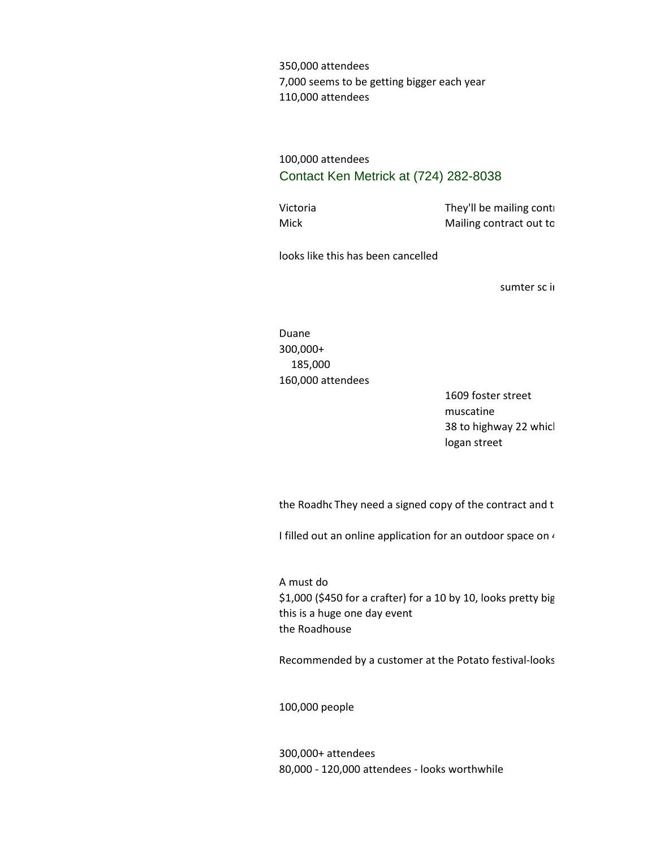350,000 attendees 7,000 seems to be getting bigger each year 110,000 attendees

## 100,000 attendees Contact Ken Metrick at (724) 282-8038

Victoria They'll be mailing contracts in April, payment due by end of  $\mathsf{Top}^{\mathsf{u}}$ Mick Mailing contract out to

looks like this has been cancelled

sumter sc ii

Duane 300,000+ 185,000 160,000 attendees

> 1609 foster street muscatine 38 to highway 22 whicl logan street

the Roadho They need a signed copy of the contract and the

I filled out an online application for an outdoor space on  $\iota$ 

A must do \$1,000 (\$450 for a crafter) for a 10 by 10, looks pretty big this is a huge one day event the Roadhouse

Recommended by a customer at the Potato festival-looks

100,000 people

300,000+ attendees 80,000 - 120,000 attendees - looks worthwhile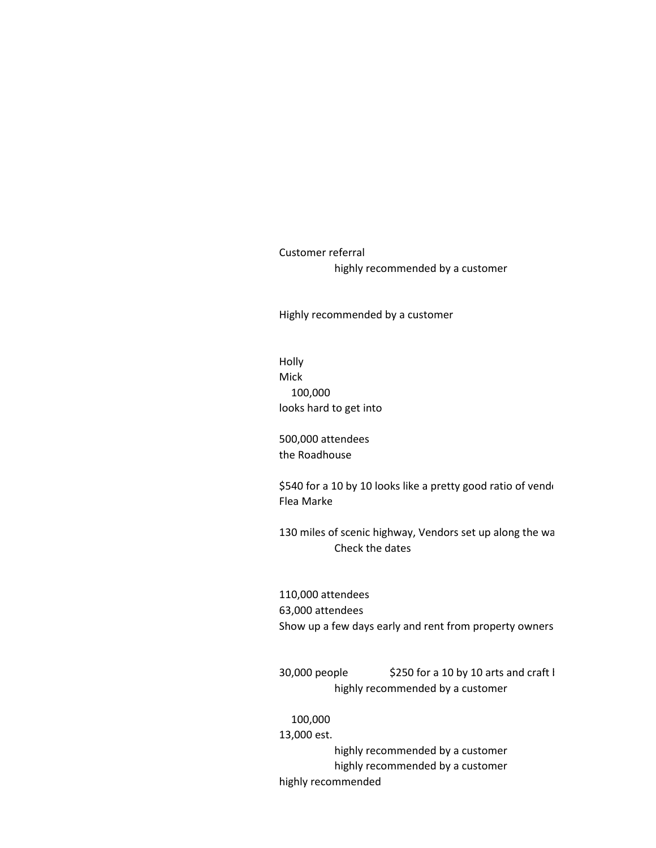Customer referral highly recommended by a customer

Highly recommended by a customer

Holly Mick 100,000 looks hard to get into

500,000 attendees the Roadhouse

\$540 for a 10 by 10 looks like a pretty good ratio of vendors Flea Marke

130 miles of scenic highway, Vendors set up along the wa Check the dates

110,000 attendees 63,000 attendees Show up a few days early and rent from property owners

 $30,000$  people \$250 for a 10 by 10 arts and craft I highly recommended by a customer

100,000

13,000 est. highly recommended by a customer highly recommended by a customer highly recommended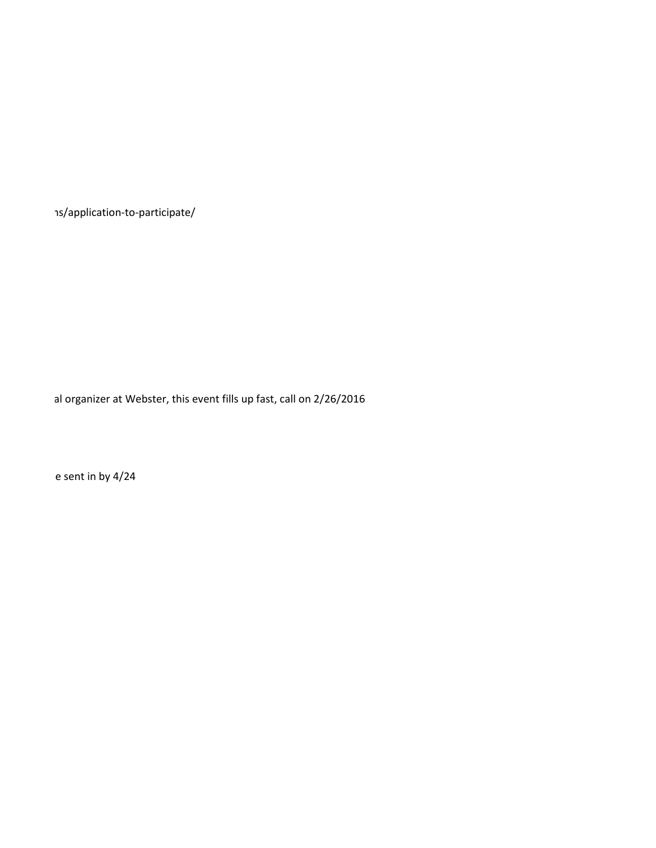http://eriorierion-to-participate/

al organizer at Webster, this event fills up fast, call on 2/26/2016

e sent in by 4/24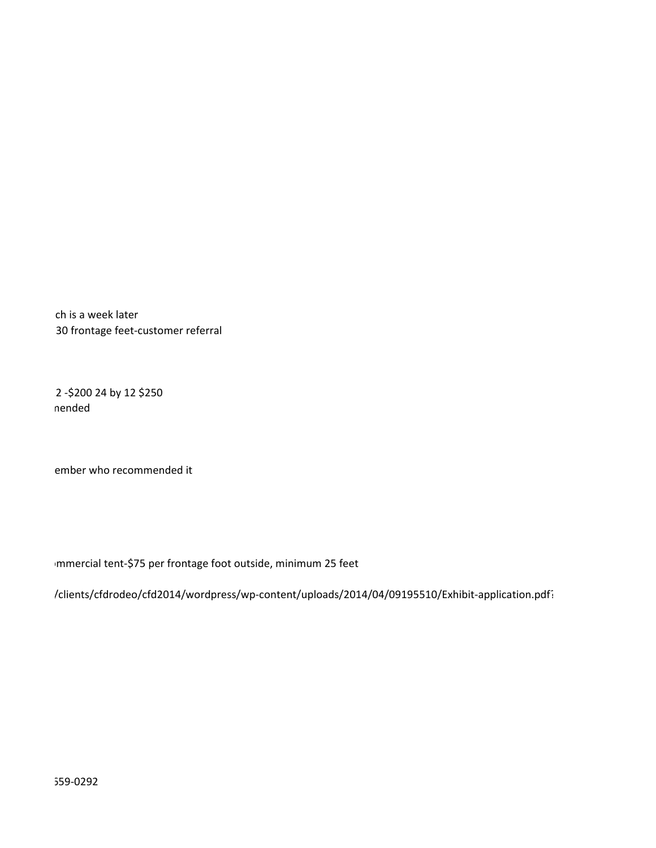ch is a week later 30 frontage feet-customer referral

2-\$200 24 by 12 \$250 nended

ember who recommended it

Immercial tent-\$75 per frontage foot outside, minimum 25 feet

/clients/cfdrodeo/cfd2014/wordpress/wp-content/uploads/2014/04/09195510/Exhibit-application.pdf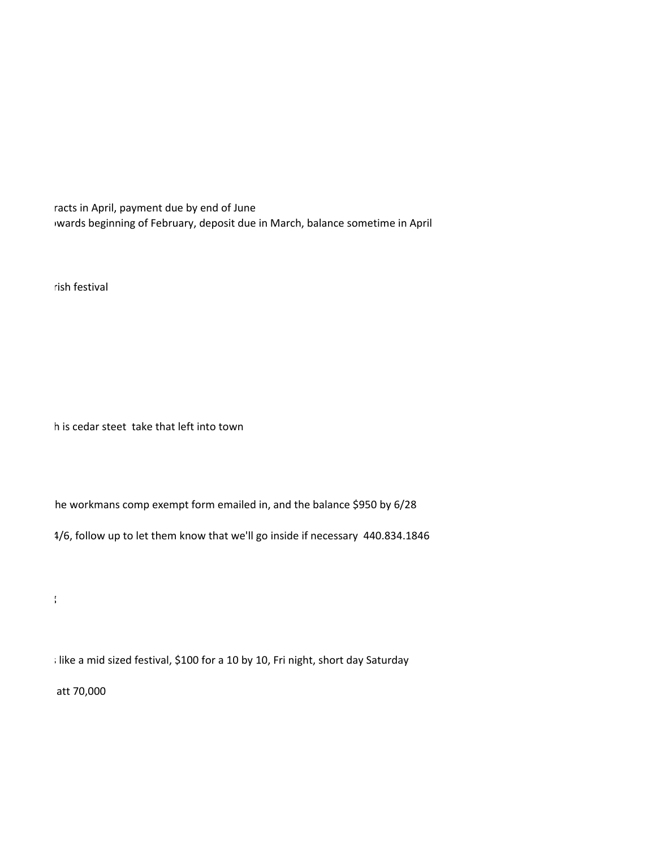racts in April, payment due by end of June wards beginning of February, deposit due in March, balance sometime in April

rish festival

h is cedar steet take that left into town

he workmans comp exempt form emailed in, and the balance \$950 by 6/28

1/6, follow up to let them know that we'll go inside if necessary 440.834.1846

; like a mid sized festival, \$100 for a 10 by 10, Fri night, short day Saturday

att 70,000

 $\frac{1}{2}$ ,000 for a 10 by 10 by 10 by 10 by 10 by 10 by 10, looks pretty big 10 by 10, looks pretty big 10, looks pretty big 10 by 10, looks pretty big 10 by 10, looks pretty big 10 by 10 by 10, looks pretty big 10 by 10,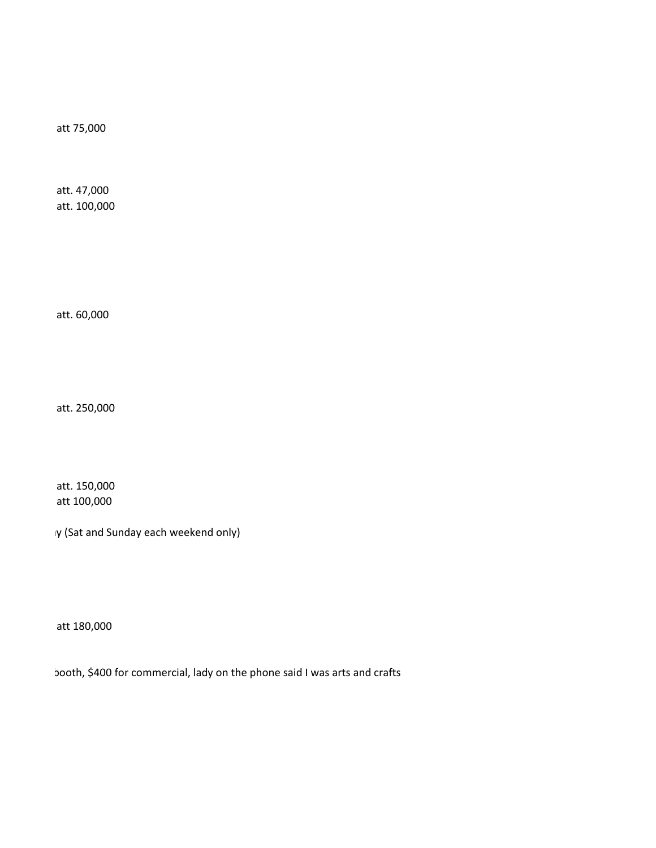att 75,000

att. 47,000 att. 100,000

att. 60,000

att. 250,000

att. 150,000 att 100,000

1y (Sat and Sunday each weekend only)

att 180,000

booth, \$400 for commercial, lady on the phone said I was arts and crafts